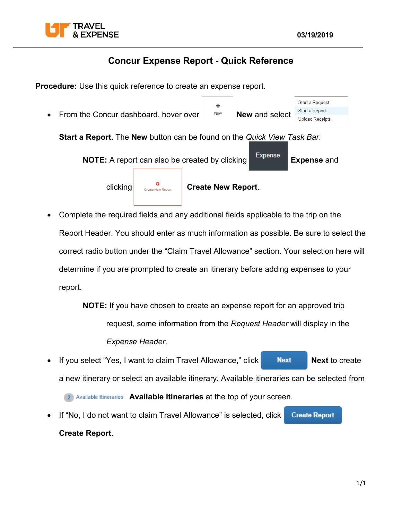

## **Concur Expense Report - Quick Reference**

**Procedure:** Use this quick reference to create an expense report.

- Start a Request ÷ Start a Report From the Concur dashboard, hover over **New New** and select **Upload Receipts Start a Report.** The **New** button can be found on the *Quick View Task Bar*. **NOTE:** A report can also be created by clicking **Expense** and clicking **c**<sub>create New Report. **Create New Report**.</sub>
- Complete the required fields and any additional fields applicable to the trip on the Report Header. You should enter as much information as possible. Be sure to select the correct radio button under the "Claim Travel Allowance" section. Your selection here will determine if you are prompted to create an itinerary before adding expenses to your report.

**NOTE:** If you have chosen to create an expense report for an approved trip request, some information from the *Request Header* will display in the *Expense Header*.

If you select "Yes, I want to claim Travel Allowance," click **Next Rext in Sext** to create a new itinerary or select an available itinerary. Available itineraries can be selected from

**2** Available Itineraries **Available Itineraries** at the top of your screen.

• If "No, I do not want to claim Travel Allowance" is selected, click **Create Report Create Report**.